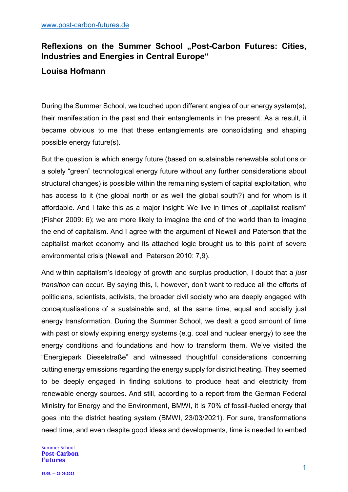## Reflexions on the Summer School "Post-Carbon Futures: Cities, **Industries and Energies in Central Europe"**

## **Louisa Hofmann**

During the Summer School, we touched upon different angles of our energy system(s), their manifestation in the past and their entanglements in the present. As a result, it became obvious to me that these entanglements are consolidating and shaping possible energy future(s).

But the question is which energy future (based on sustainable renewable solutions or a solely "green" technological energy future without any further considerations about structural changes) is possible within the remaining system of capital exploitation, who has access to it (the global north or as well the global south?) and for whom is it affordable. And I take this as a major insight: We live in times of "capitalist realism" (Fisher 2009: 6); we are more likely to imagine the end of the world than to imagine the end of capitalism. And I agree with the argument of Newell and Paterson that the capitalist market economy and its attached logic brought us to this point of severe environmental crisis (Newell and Paterson 2010: 7,9).

And within capitalism's ideology of growth and surplus production, I doubt that a *just transition* can occur. By saying this, I, however, don't want to reduce all the efforts of politicians, scientists, activists, the broader civil society who are deeply engaged with conceptualisations of a sustainable and, at the same time, equal and socially just energy transformation. During the Summer School, we dealt a good amount of time with past or slowly expiring energy systems (e.g. coal and nuclear energy) to see the energy conditions and foundations and how to transform them. We've visited the "Energiepark Dieselstraße" and witnessed thoughtful considerations concerning cutting energy emissions regarding the energy supply for district heating. They seemed to be deeply engaged in finding solutions to produce heat and electricity from renewable energy sources. And still, according to a report from the German Federal Ministry for Energy and the Environment, BMWI, it is 70% of fossil-fueled energy that goes into the district heating system (BMWI, 23/03/2021). For sure, transformations need time, and even despite good ideas and developments, time is needed to embed

**Summer School Post-Carbon Futures**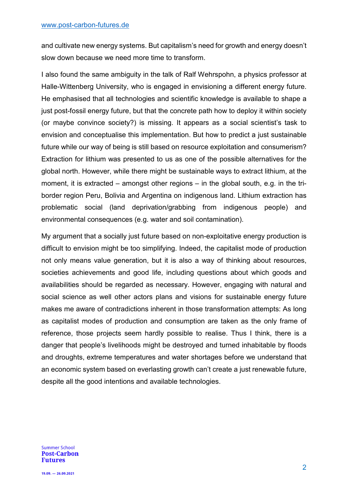and cultivate new energy systems. But capitalism's need for growth and energy doesn't slow down because we need more time to transform.

I also found the same ambiguity in the talk of Ralf Wehrspohn, a physics professor at Halle-Wittenberg University, who is engaged in envisioning a different energy future. He emphasised that all technologies and scientific knowledge is available to shape a just post-fossil energy future, but that the concrete path how to deploy it within society (or maybe convince society?) is missing. It appears as a social scientist's task to envision and conceptualise this implementation. But how to predict a just sustainable future while our way of being is still based on resource exploitation and consumerism? Extraction for lithium was presented to us as one of the possible alternatives for the global north. However, while there might be sustainable ways to extract lithium, at the moment, it is extracted – amongst other regions – in the global south, e.g. in the triborder region Peru, Bolivia and Argentina on indigenous land. Lithium extraction has problematic social (land deprivation/grabbing from indigenous people) and environmental consequences (e.g. water and soil contamination).

My argument that a socially just future based on non-exploitative energy production is difficult to envision might be too simplifying. Indeed, the capitalist mode of production not only means value generation, but it is also a way of thinking about resources, societies achievements and good life, including questions about which goods and availabilities should be regarded as necessary. However, engaging with natural and social science as well other actors plans and visions for sustainable energy future makes me aware of contradictions inherent in those transformation attempts: As long as capitalist modes of production and consumption are taken as the only frame of reference, those projects seem hardly possible to realise. Thus I think, there is a danger that people's livelihoods might be destroyed and turned inhabitable by floods and droughts, extreme temperatures and water shortages before we understand that an economic system based on everlasting growth can't create a just renewable future, despite all the good intentions and available technologies.

**Summer School Post-Carbon Futures**